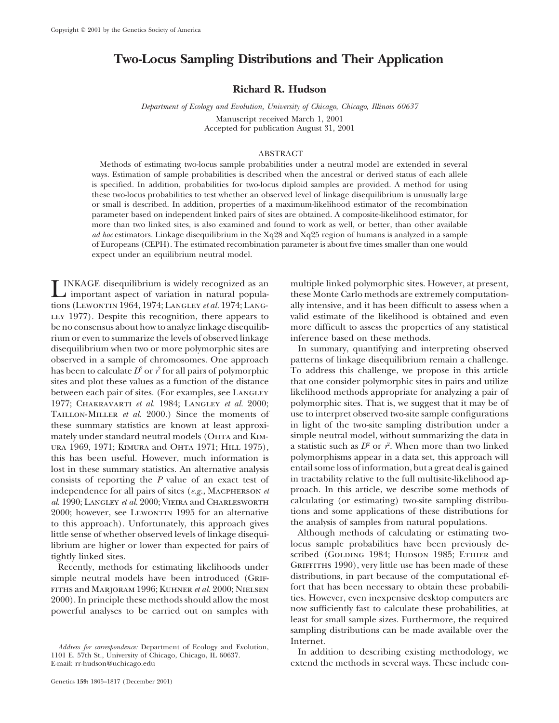# **Two-Locus Sampling Distributions and Their Application**

## **Richard R. Hudson**

*Department of Ecology and Evolution, University of Chicago, Chicago, Illinois 60637* Manuscript received March 1, 2001

Accepted for publication August 31, 2001

### ABSTRACT

Methods of estimating two-locus sample probabilities under a neutral model are extended in several ways. Estimation of sample probabilities is described when the ancestral or derived status of each allele is specified. In addition, probabilities for two-locus diploid samples are provided. A method for using these two-locus probabilities to test whether an observed level of linkage disequilibrium is unusually large or small is described. In addition, properties of a maximum-likelihood estimator of the recombination parameter based on independent linked pairs of sites are obtained. A composite-likelihood estimator, for more than two linked sites, is also examined and found to work as well, or better, than other available *ad hoc* estimators. Linkage disequilibrium in the Xq28 and Xq25 region of humans is analyzed in a sample of Europeans (CEPH). The estimated recombination parameter is about five times smaller than one would expect under an equilibrium neutral model.

INKAGE disequilibrium is widely recognized as an multiple linked polymorphic sites. However, at present,<br>important aspect of variation in natural popula-<br>ions (LEWONTIN 1964, 1974; LANGLEY *et al.* 1974; LANG-ally intensiv tions (Lewontin 1964, 1974; Langley *et al.* 1974; Lang-LEY 1977). Despite this recognition, there appears to valid estimate of the likelihood is obtained and even be no consensus about how to analyze linkage disequilib- more difficult to assess the properties of any statistical rium or even to summarize the levels of observed linkage inference based on these methods. disequilibrium when two or more polymorphic sites are In summary, quantifying and interpreting observed observed in a sample of chromosomes. One approach patterns of linkage disequilibrium remain a challenge. has been to calculate  $D^2$  or  $r^2$  for all pairs of polymorphic sites and plot these values as a function of the distance that one consider polymorphic sites in pairs and utilize between each pair of sites. (For examples, see LANGLEY likelihood methods appropriate for analyzing a pair of 1977; Chakravarti *et al.* 1984; Langley *et al.* 2000; polymorphic sites. That is, we suggest that it may be of TAILLON-MILLER *et al.* 2000.) Since the moments of use to interpret observed two-site sample configurations these summary statistics are known at least approxi- in light of the two-site sampling distribution under a mately under standard neutral models (OHTA and KIM- simple neutral model, without summarizing the data in URA 1969, 1971; KIMURA and OHTA 1971; HILL 1975), a statistic such as  $D^2$  or  $r^2$ . When more than two linked this has been useful. However, much information is polymorphisms appear in a data set, this approach will this has been useful. However, much information is lost in these summary statistics. An alternative analysis entail some loss of information, but a great deal is gained<br>consists of reporting the P value of an exact test of in tractability relative to the full multisite-lik consists of reporting the *P* value of an exact test of in tractability relative to the full multisite-likelihood ap-<br>independence for all pairs of sites (*e.g.*, MACPHERSON *et* proach. In this article, we describe some independence for all pairs of sites (*e.g.*, MACPHERSON *et* proach. In this article, we describe some methods of *al.* 1990: LANGLEY *et al.* 2000: VIEIRA and CHARLESWORTH calculating (or estimating) two-site sampling dis *al.* 1990; Langley *et al.* 2000; Vieira and Charlesworth 2000; however, see LEWONTIN 1995 for an alternative tions and some applications of these distributions for to this approach). Unfortunately, this approach gives the analysis of samples from natural populations. to this approach). Unfortunately, this approach gives little sense of whether observed levels of linkage disequi-<br>
little sense of calculating or estimating two-<br>
little sense of whether or lower than expected for pairs of locus sample probabilities have been previously delibrium are higher or lower than expected for pairs of

Recently, methods for estimating likelihoods under 2000). In principle these methods should allow the most these Monte Carlo methods are extremely computation-

To address this challenge, we propose in this article a statistic such as  $D^2$  or  $r^2$ . When more than two linked

tightly linked sites.<br>Recently, methods for estimating likelihoods under<br>Recently, methods for estimating likelihoods under<br>GRIFFITHS 1990), very little use has been made of these simple neutral models have been introduced (GRIF-<br>EITHS and MARIORAM 1996: KUHNER et al. 2000: NIELSEN fort that has been necessary to obtain these probabilifiths and Marjoram 1996; Kuhner *et al.* 2000; Nielsen fort that has been necessary to obtain these probabili-<br>2000) In principle these methods should allow the most ties. However, even inexpensive desktop computers are powerful analyses to be carried out on samples with now sufficiently fast to calculate these probabilities, at least for small sample sizes. Furthermore, the required sampling distributions can be made available over the Internet.

extend the methods in several ways. These include con-

*Address for correspondence:* Department of Ecology and Evolution,<br>
1101 E. 57th St., University of Chicago, Chicago, IL 60637. In addition to describing existing methodology, we<br>
E-mail: rr-hudson@uchicago.edu extend the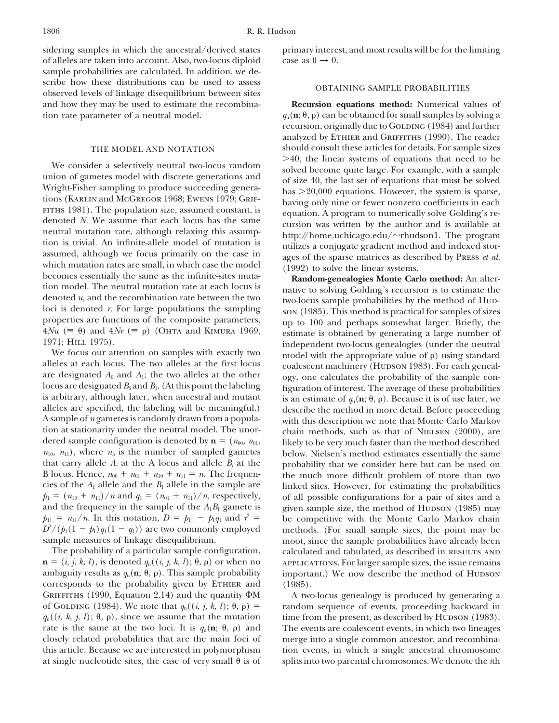sidering samples in which the ancestral/derived states primary interest, and most results will be for the limiting of alleles are taken into account. Also, two-locus diploid case as  $\theta \to 0$ . sample probabilities are calculated. In addition, we describe how these distributions can be used to assess **OBTAINING SAMPLE PROBABILITIES** observed levels of linkage disequilibrium between sites and how they may be used to estimate the recombina- **Recursion equations method:** Numerical values of tion rate parameter of a neutral model.

FITHS 1981). The population size, assumed constant, is denoted *N*. We assume that each locus has the same cursion A program to numerically solve Golding's redenoted *N*. We assume that each locus has the same neutral mut which mutation rates are small, in which case the model (1992) to solve the linear systems.<br>becomes essentially the same as the infinite-sites muta-<br>**Random-genealogies Monte Carlo method:** An alter-<br>notive to solving Cold tion model. The neutral mutation rate at each locus is<br>denoted u, and the recombination rate between the two<br>locus sample probabilities by the method of Hup-<br>loci is denoted r. For large populations the sampling<br>son (1985 Foci is denoted r. For large populations the sampling<br>properties are functions of the composite parameters,<br> $4Nu \ (\equiv \theta)$  and  $4Nr \ (\equiv \rho)$  (OHTA and KIMURA 1969,<br>estimate is obtained by generating a large number of

is arbitrary, although later, when ancestral and mutant alleles are specified, the labeling will be meaningful.) A sample of *n* gametes is randomly drawn from a popula-<br>tion at stationarity under the neutral model. The unor-<br>chain methods, such as that of NIELSEN (2000), are tion at stationarity under the neutral model. The unor-<br>dered sample configuration is denoted by  $\mathbf{n} = (n_{00}, n_{01},$ <br>likely to be very much faster than the method described  $p_{11} = n_{11}/n$ . In this notation,  $D = p_{11} - p_1 q_1$  and  $r^2 =$  $D^2/(p_1(1-p_1)q_1(1-q_1))$  are two commonly employed

 $\mathbf{n} = (i, j, k, l)$ , is denoted  $q_u((i, j, k, l); \theta, \rho)$  or when no ambiguity results as  $q_u(\mathbf{n}; \theta, \rho)$ . This sample probability corresponds to the probability given by ETHIER and (1985). GRIFFITHS (1990, Equation 2.14) and the quantity  $\Phi M$  A two-locus genealogy is produced by generating a of GOLDING (1984). We note that  $q_u((i, j, k, l); \theta, \rho)$  =  $q_u((i, k, j, l); \theta, \rho)$ , since we assume that the mutation rate is the same at the two loci. It is  $q_u(\mathbf{n}; \theta, \rho)$  and

 $q_{\rm u}$ (n;  $\theta$ ,  $\rho$ ) can be obtained for small samples by solving a recursion, originally due to GOLDING (1984) and further analyzed by ETHIER and GRIFFITHS (1990). The reader THE MODEL AND NOTATION should consult these articles for details. For sample sizes We consider a selectively neutral two-locus random<br>with the solved become quite large. For example, with a sample<br>union of gametes model with discrete generations and<br>Wright-Fisher sampling to produce succeeding genera-<br>ti

 $4Nu$  ( $\equiv \theta$ ) and  $4Nr$  ( $\equiv \rho$ ) (OHTA and KIMURA 1969,<br>1971; HILL 1975).<br>We focus our attention on samples with exactly two<br>alleles at each locus. The two alleles at the first locus<br>alleles at each locus. The two alleles alleles at each locus. The two alleles at the first locus coalescent machinery (HUDSON 1983). For each geneal-<br>are designated  $A_0$  and  $A_1$ ; the two alleles at the other locus one calculates the probability of the sampl is an estimate of  $q_u(n; \theta, \rho)$ . Because it is of use later, we alleles are specified, the labeling will be meaningful.) describe the method in more detail. Before proceeding<br>A sample of *n* gametes is randomly drawn from a popula-<br>with this description we note that Monte Carlo Markov dered sample configuration is denoted by  $\mathbf{n} = (n_{00}, n_{01}, \dots, n_{01})$  likely to be very much faster than the method described  $n_{10}, n_{11}$ , where  $n_{ii}$  is the number of sampled gametes below. Nielsen's method estimates es  $n_{10}$ ,  $n_{11}$ ), where  $n_{ij}$  is the number of sampled gametes below. Nielsen's method estimates essentially the same that carry allele  $A_i$  at the A locus and allele  $B_i$  at the probability that we consider here but ca that carry allele *A<sub>i</sub>* at the A locus and allele *B<sub>j</sub>* at the probability that we consider here but can be used on B locus. Hence,  $n_{00} + n_{01} + n_{10} + n_{11} = n$ . The frequenties the much more difficult problem of more th B locus. Hence,  $n_{00} + n_{01} + n_{10} + n_{11} = n$ . The frequen-<br>cies of the  $A_1$  allele and the  $B_1$  allele in the sample are linked sites. However, for estimating the probabilities linked sites. However, for estimating the probabilities  $p_1 = (n_{10} + n_{11})/n$  and  $q_1 = (n_{01} + n_{11})/n$ , respectively, of all possible configurations for a pair of sites and a and the frequency in the sample of the  $A_1B_1$  gamete is given sample size, the method of Hupson (1985) may be competitive with the Monte Carlo Markov chain methods. (For small sample sizes, the point may be sample measures of linkage disequilibrium. moot, since the sample probabilities have already been The probability of a particular sample configuration, calculated and tabulated, as described in RESULTS AND APPLICATIONS. For larger sample sizes, the issue remains important.) We now describe the method of Hudson

) random sequence of events, proceeding backward in time from the present, as described by Hudson (1983). The events are coalescent events, in which two lineages closely related probabilities that are the main foci of merge into a single common ancestor, and recombinathis article. Because we are interested in polymorphism tion events, in which a single ancestral chromosome at single nucleotide sites, the case of very small  $\theta$  is of splits into two parental chromosomes. We denote the *i*th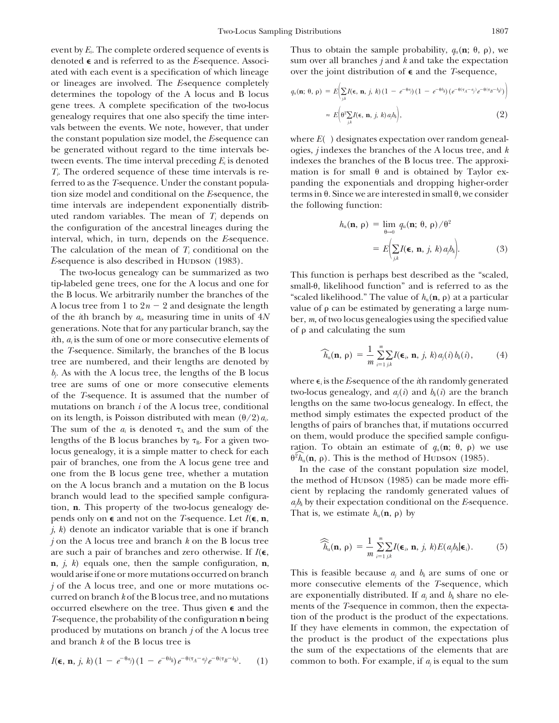event by  $E_i$ . The complete ordered sequence of events is ated with each event is a specification of which lineage over the joint distribution of  $\epsilon$  and the *T*-sequence, or lineages are involved. The *E*-sequence completely ) determines the topology of the A locus and B locus gene trees. A complete specification of the two-locus *<sup>I</sup>*(, **<sup>n</sup>**, *<sup>j</sup>*, *<sup>k</sup>*)*ajbk* genealogy requires that one also specify the time inter- , (2) vals between the events. We note, however, that under the constant population size model, the *E*-sequence can where  $E( )$  designates expectation over random genealtime intervals are independent exponentially distrib- the following function: uted random variables. The mean of  $T_i$  depends on the configuration of the ancestral lineages during the  $h$ the configuration of the ancestral lineages during the interval, which, in turn, depends on the *E*-sequence. The calculation of the mean of  $T_i$  conditional on the *E*-sequence is also described in Hudson (1983).

The two-locus genealogy can be summarized as two This function is perhaps best described as the "scaled, tip-labeled gene trees, one for the A locus and one for small-0, likelihood function" and is referred to as the the B locus. We arbitrarily number the branches of the  $\theta$ A locus tree from 1 to  $2n - 2$  and designate the length of the *i*th branch by *ai*, measuring time in units of 4*N* ber, *m*, of two locus genealogies using the specified value generations. Note that for any particular branch, say the *i*th, *ai* is the sum of one or more consecutive elements of the *T*-sequence. Similarly, the branches of the B locus *<sup>I</sup>*(*i*, **<sup>n</sup>**, *<sup>j</sup>*, *<sup>k</sup>*)*aj*(*i*)*bk*(*i*), (4) tree are numbered, and their lengths are denoted by *b<sub>j</sub>*. As with the A locus tree, the lengths of the B locus where  $\epsilon_i$  is the *E*-sequence of the *i*th randomly generated tree are sums of one or more consecutive elements of the *T*-sequence. It is assumed that the number of two-locus genealogy, and  $a_j(i)$  and  $b_k(i)$  are the branch of the *A*-locus tree conditional lengths on the same two-locus genealogy. In effect, the mutations on branch *i* of the A locus tree, conditional<br>on its length, is Poisson distributed with mean  $(\theta/2) a_i$ .<br>The sum of the  $a_i$  is denoted  $\tau_A$  and the sum of the<br>lengths of pairs of branches that, if mutations o lengths of the B locus branches by  $\tau_B$ . For a given two-<br>leave generalism: To obtain an estimate of  $q_u(\mathbf{n}; \theta, \rho)$  we use locus genealogy, it is a simple matter to check for each pair of branches, one from the A locus gene tree and <sup>2</sup> For the B locus gene tree, whether a mutation<br>on the A locus branch and a mutation on the B locus<br>branch would lead to the specified sample configura-<br>tion, **n**. This property of the two-locus genealogy de-<br>nearly  $a_jb_k$  tion, **n**. This property of the two-locus genealogy depends only on  $\epsilon$  and not on the *T*-sequence. Let  $I(\epsilon, n)$ , That is, we estimate  $h_u(n, \rho)$  by *j*, *k*) denote an indicator variable that is one if branch *j* on the A locus tree and branch  $k$  on the B locus tree are such a pair of branches and zero otherwise. If  $I(\epsilon)$ , **n**, *j*, *k*) equals one, then the sample configuration, **n**, would arise if one or more mutations occurred on branch This is feasible because  $a_j$  and  $b_k$  are sums of one or *i* of the A locus tree, and one or more mutations occurred on the *T*-sequence, which *j* of the A locus tree, and one or more mutations occurred on branch *k* of the B locus tree, and no mutations are exponentially distributed. If  $a_j$  and  $b_k$  share no ele-<br>occurred elsewhere on the tree. Thus given  $\epsilon$  and the ments of the *T*-sequence in common, then th occurred elsewhere on the tree. Thus given  $\epsilon$  and the ments of the *T*-sequence in common, then the expecta-<br>T-sequence the probability of the configuration **n** being tion of the product is the product of the expectatio *T*-sequence, the probability of the configuration **n** being tion of the product is the product of the expectations.<br>
If they have elements in common, the expectation of produced by mutations on branch  $j$  of the A locus tree and branch  $k$  of the B locus tree is the product is the product of the expectations plus and branch  $k$  of the B locus tree is

$$
I(\epsilon, \mathbf{n}, j, k) (1 - e^{-\theta a}) (1 - e^{-\theta b k}) e^{-\theta (\tau_A - a_j)} e^{-\theta (\tau_B - b k)}
$$
. (1) common to both. For example, if  $a_j$  is equal to the sum

Thus to obtain the sample probability,  $q_u(\mathbf{n}; \theta, \rho)$ , we denoted and is referred to as the *E*-sequence. Associ- sum over all branches *j* and *k* and take the expectation

$$
q_{\mathrm{u}}(\mathbf{n};\,\theta,\,\rho) = E\Biggl(\sum_{j,k} I(\epsilon,\,\mathbf{n},\,j,\,k) \left(1 - e^{-\theta a_j}\right) \left(1 - e^{-\theta b_k}\right) \left(e^{-\theta(\tau_A - a_j)} e^{-\theta(\tau_B - b_k)}\right)\Biggr) \approx E\Biggl(\theta^2 \sum_{j,k} I(\epsilon,\,\mathbf{n},\,j,\,k) \, a_j b_k\Biggr),
$$
\n(2)

be generated without regard to the time intervals be- ogies, *j* indexes the branches of the A locus tree, and *k* tween events. The time interval preceding *Ei* is denoted indexes the branches of the B locus tree. The approxi- $T_i$ . The ordered sequence of these time intervals is re- mation is for small  $\theta$  and is obtained by Taylor exferred to as the *T*-sequence. Under the constant popula- panding the exponentials and dropping higher-order tion size model and conditional on the *E*-sequence, the terms in  $\theta$ . Since we are interested in small  $\theta$ , we consider

$$
y_{\mathrm{u}}(\mathbf{n}, \, \rho) = \lim_{\theta \to 0} q_{\mathrm{u}}(\mathbf{n}; \, \theta, \, \rho) / \theta^2
$$
\n
$$
= E\left(\sum_{j,k} I(\mathbf{\epsilon}, \, \mathbf{n}, \, j, \, k) \, a_j b_k\right). \tag{3}
$$

"scaled likelihood." The value of  $h_u(\mathbf{n}, \rho)$  at a particular value of  $\rho$  can be estimated by generating a large numof  $\rho$  and calculating the sum

$$
\widehat{h}_{\mathbf{u}}(\mathbf{n},\,\mathbf{\rho})\,=\,\frac{1}{m}\sum_{i=1\,j,k}^{m}\!\sum_{j,k}I(\mathbf{\epsilon}_i,\,\mathbf{n},\,j,\,k)\,a_j(i)\,b_k(i),\qquad \quad \ \ (4)
$$

 $\widehat{h}_{\rm u}(\mathbf{n},\rho)$ . This is the method of Hudson (1985).

$$
\widehat{\widehat{h}}_{\mathrm{u}}(\mathbf{n},\,\rho) = \frac{1}{m} \sum_{i=1}^{m} \sum_{j,k} I(\boldsymbol{\epsilon}_i,\,\mathbf{n},\,j,\,k) E(a_j b_k | \boldsymbol{\epsilon}_i). \tag{5}
$$

the sum of the expectations of the elements that are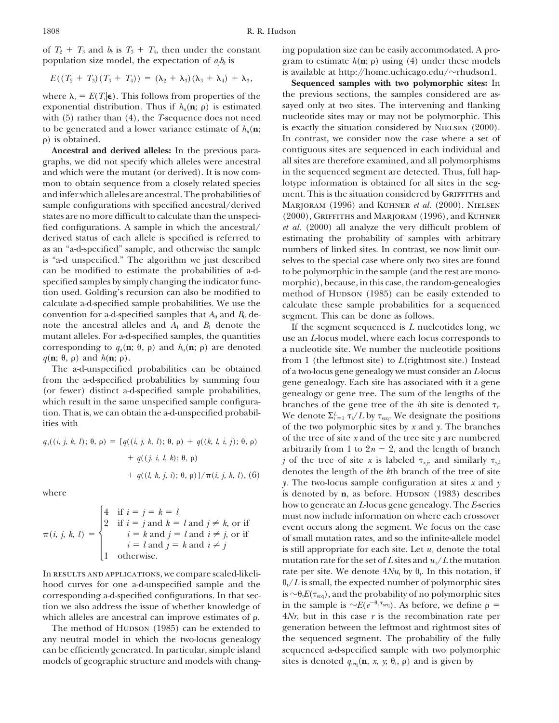$$
E((T_2 + T_3)(T_3 + T_4)) = (\lambda_2 + \lambda_3)(\lambda_3 + \lambda_4) + \lambda_3,
$$

to be generated and a lower variance estimate of  $h_u(\mathbf{n})$ ;  $\rho$ ) is obtained.

graphs, we did not specify which alleles were ancestral all sites are therefore examined, and all polymorphisms and which were the mutant (or derived). It is now com- in the sequenced segment are detected. Thus, full hapmon to obtain sequence from a closely related species lotype information is obtained for all sites in the segand infer which alleles are ancestral. The probabilities of ment. This is the situation considered by GRIFFITHS and sample configurations with specified ancestral/derived Marjoram (1996) and Kuhner *et al.* (2000). NIELSEN states are no more difficult to calculate than the unspeci- (2000), Griffiths and Marjoram (1996), and Kuhner fied configurations. A sample in which the ancestral/ *et al.* (2000) all analyze the very difficult problem of derived status of each allele is specified is referred to estimating the probability of samples with arbitrary as an "a-d-specified" sample, and otherwise the sample numbers of linked sites. In contrast, we now limit ouris "a-d unspecified." The algorithm we just described selves to the special case where only two sites are found can be modified to estimate the probabilities of a-d- to be polymorphic in the sample (and the rest are monospecified samples by simply changing the indicator func- morphic), because, in this case, the random-genealogies tion used. Golding's recursion can also be modified to method of Hubson (1985) can be easily extended to calculate a-d-specified sample probabilities. We use the calculate these sample probabilities for a sequenced convention for a-d-specified samples that  $A_0$  and  $B_0$  de-<br>note the ancestral alleles and  $A_1$  and  $B_1$  denote the <br>if the segment sequenced is *L* nuclear note the ancestral alleles and  $A_1$  and  $B_1$  denote the If the segment sequenced is  $L$  nucleotides long, we mutant alleles. For a-d-specified samples, the quantities use an  $L$ -locus model, where each locus corresponds corresponding to  $q_u(\mathbf{n}; \theta, \rho)$  and  $h_u(\mathbf{n}; \rho)$  $q(\mathbf{n}; \theta, \rho)$  and  $h(\mathbf{n}; \rho)$ 

 $+ q((j, i, l, k); \theta, \rho)$  $+ q((l, k, j, i); \theta, \rho)]/\pi(i, j, k, l), (6)$ 

$$
\pi(i, j, k, l) = \begin{cases}\n4 & \text{if } i = j = k = l \\
2 & \text{if } i = j \text{ and } k = l \text{ and } j \neq k \text{, or if} \\
i = k \text{ and } j = l \text{ and } i \neq j \text{, or if} \\
i = l \text{ and } j = k \text{ and } i \neq j \\
1 & \text{otherwise.}\n\end{cases}
$$

hood curves for one a-d-unspecified sample and the corresponding a-d-specified configurations. In that sec- is  $\sim \theta_t E(\tau_{seq})$ , and the probability of no polymorphic sites tion we also address the issue of whether knowledge of in the sample is  $\sim E(e^{-\theta_t \tau_{seq}})$ . As before, we define  $\rho =$ which alleles are ancestral can improve estimates of  $\rho$ .

any neutral model in which the two-locus genealogy the sequenced segment. The probability of the fully can be efficiently generated. In particular, simple island sequenced a-d-specified sample with two polymorphic models of geographic structure and models with chang-

gram to estimate  $h(n; \rho)$  using (4) under these models is available at http://home.uchicago.edu/~rhudson1.

Sequenced samples with two polymorphic sites: In where  $\lambda_i = E(T_i | \epsilon)$ . This follows from properties of the the previous sections, the samples considered are asexponential distribution. Thus if  $h_u(\mathbf{n}; \rho)$  is estimated sayed only at two sites. The intervening and flanking with (5) rather than (4), the *T*-sequence does not need nucleotide sites may or may not be polymorphic. This to be generated and a lower variance estimate of  $h_n(\mathbf{n})$ : is exactly the situation considered by NIELSEN (200 In contrast, we consider now the case where a set of **Ancestral and derived alleles:** In the previous para- contiguous sites are sequenced in each individual and calculate these sample probabilities for a sequenced

use an *L*-locus model, where each locus corresponds to a nucleotide site. We number the nucleotide positions *q*(**n**; θ, ρ) and *n*(**n**; ρ).<br>The a-d-unspecified probabilities can be obtained of a two-locus gene genealogy we must consider an *L*-locus from the a-d-specified probabilities by summing four<br>from the a-d-specified pro From the a-d-specified probabilities by summing four<br>
(or fewer) distinct a-d-specified sample probabilities,<br>
which result in the same unspecified sample configura-<br>
tion. That is, we can obtain the a-d-unspecified proba *i* of the two polymorphic sites by *x* and *y*. The branches  $q_u((i, j, k, l); \theta, \rho) = [q((i, j, k, l); \theta, \rho) + q((k, l, i, j); \theta, \rho)]$  of the tree of site x and of the tree site y are numbered arbitrarily from 1 to  $2n - 2$ , and the length of branch *j* of the tree of site *x* is labeled  $\tau_{x,i}$ , and similarly  $\tau_{y,k}$ denotes the length of the *k*th branch of the tree of site *y.* The two-locus sample configuration at sites *x* and *y* where **is denoted by <b>n**, as before. Hudson (1983) describes how to generate an *L*-locus gene genealogy. The *E*-series must now include information on where each crossover event occurs along the segment. We focus on the case of small mutation rates, and so the infinite-allele model is still appropriate for each site. Let  $u_t$  denote the total mutation rate for the set of *L* sites and  $u_t/L$  the mutation In RESULTS AND APPLICATIONS, we compare scaled-likeli-<br>  $\text{rate per site. We denote } 4Nu_t$  by  $\theta_t$ . In this notation, if<br>
hood curves for one a-d-unspecified sample and the  $\theta_t/L$  is small, the expected number of polymorphic sites . 4*Nr*, but in this case *r* is the recombination rate per The method of Hupson (1985) can be extended to generation between the leftmost and rightmost sites of sites is denoted  $q_{seq}(\mathbf{n}, \mathbf{x}, \mathbf{y}; \theta_t, \rho)$  and is given by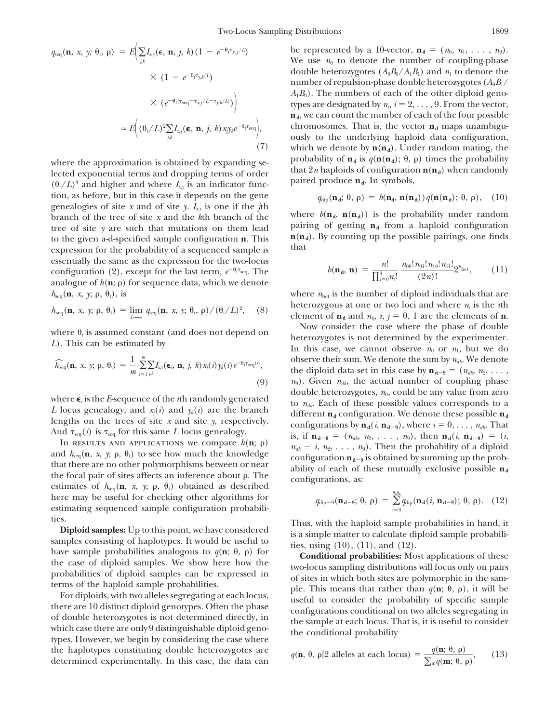$$
q_{\text{seq}}(\mathbf{n}, x, y; \theta_{\text{t}}, \rho) = E\Biggl(\sum_{j,k} I_{x,y}(\boldsymbol{\epsilon}, \mathbf{n}, j, k) (1 - e^{-\theta_{\text{t}} \tau_{x,j}/L})
$$

$$
\times (1 - e^{-\theta_{\text{t}} \tau_{y,k}/L})
$$

$$
\times (e^{-\theta_{\text{t}} (\tau_{\text{seq}} - \tau_{x,j}/L - \tau_{y,k}/L)})\Biggr)
$$

$$
\approx E\Biggl((\theta_{\text{t}}/L)^2 \sum_{j,k} I_{x,y}(\boldsymbol{\epsilon}, \mathbf{n}, j, k) x_j y_k e^{-\theta_{\text{t}} \tau_{\text{seq}}}\Biggr),
$$
(7

where the approximation is obtained by expanding se-<br>lected exponential terms and dropping terms of order<br> $(\theta_t/L)^3$  and higher and where  $I_{x,y}$  is an indicator func-<br> $(\theta_t/L)^3$  and higher and where  $I_{x,y}$  is an indicator f tion, as before, but in this case it depends on the gene genealogies of site *x* and of site *y*.  $I_{x,y}$  is one if the *j*th branch of the tree of site *x* and the *k*th branch of the where  $b(\mathbf{n}_d, \mathbf{n}(\mathbf{n}_d))$  is the probability under random tree of site *x* are such that mutations on them lead pairing of getting  $\mathbf{n}_d$  from a haploid conf tree of site y are such that mutations on them lead<br>to the given a-d-specified sample configuration **n**. This  $\mathbf{n}(\mathbf{n}_d)$ . By counting up the possible pairings, one finds<br>expression for the probability of a sequenced s expression for the probability of a sequenced sample is essentially the same as the expression for the two-locus configuration (2), except for the last term,  $e^{-\theta_t \tau_{seq}}$ . The analogue of  $h(\mathbf{n}; \mathbf{\rho})$  for sequence data, which we denote  $h_{\text{seq}}(\mathbf{n}, x, y; \rho, \theta_t)$ , is

$$
h_{\text{seq}}(\mathbf{n}, \ x, \ y; \ \rho, \ \theta_{\text{t}}) = \lim_{L \to \infty} q_{\text{seq}}(\mathbf{n}, \ x, \ y; \ \theta_{\text{t}}, \ \rho) / (\theta_{\text{t}}/L)^2, \tag{8}
$$

$$
\widehat{h}_{seq}(\mathbf{n}, x, y; \rho, \theta_t) = \frac{1}{m} \sum_{i=1}^{m} \sum_{j,k} I_{x,y}(\boldsymbol{\epsilon}_i, \mathbf{n}, j, k) x_j(i) y_k(i) e^{-\theta_t \tau_{seq}(i)},
$$
\n(9)

the focal pair of sites affects an inference about  $\rho$ . The the focal pair of sites affects an inference about  $\rho$ . The configurations, as: estimates of  $h_{seq}(\mathbf{n}, x, y; \rho, \theta_1)$  obtained as described here may be useful for checking other algorithms for estimating sequenced sample configuration probabili-

For diploids, with two alleles segregating at each locus,<br>there are 10 distinct diploid genotypes. Often the phase<br>of double heterozygotes is not determined directly, in<br>which case there are only 9 distinguishable diploid the haplotypes constituting double heterozygotes are determined experimentally. In this case, the data can

be represented by a 10-vector,  $\mathbf{n}_d = (n_0, n_1, \ldots, n_9)$ . We use  $n_0$  to denote the number of coupling-phase double heterozygotes  $(A_0B_0/A_1B_1)$  and  $n_1$  to denote the number of repulsion-phase double heterozygotes  $(A_0B_1$ /  $A_1B_0$ ). The numbers of each of the other diploid genotypes are designated by  $n_i$ ,  $i = 2, \ldots, 9$ . From the vector, **n**<sub>d</sub>, we can count the number of each of the four possible chromosomes. That is, the vector  $n_d$  maps unambigu-*IX*, ously to the underlying haploid data configuration,<br>*I*) which we denote by  $\mathbf{n}(\mathbf{n}_a)$ . Under random mating, the which we denote by  $\mathbf{n}(\mathbf{n}_d)$ . Under random mating, the probability of  $\mathbf{n}_d$  is  $q(\mathbf{n}(\mathbf{n}_d); \theta, \rho)$  times the probability

$$
q_{\text{dip}}(\mathbf{n_d}; \, \theta, \, \rho) = b(\mathbf{n_d}, \, \mathbf{n}(\mathbf{n_d})) \, q(\mathbf{n}(\mathbf{n_d}); \, \theta, \, \rho), \quad (10)
$$

$$
b(\mathbf{n_d}, \mathbf{n}) = \frac{n!}{\prod_{i=0}^{9} n_i!} \frac{n_{00}! n_{01}! n_{10}! n_{11}!}{(2n)!} 2^{n_{\text{het}}}, \quad (11)
$$

where  $n_{\text{het}}$  is the number of diploid individuals that are heterozygous at one or two loci and where  $n_i$  is the *i*th element of  $\mathbf{n}_d$  and  $n_{ij}$ ,  $i, j = 0, 1$  are the elements of **n**.

where  $\theta_t$  is assumed constant (and does not depend on Now consider the case where the phase of double<br>
L). This can be estimated by the experimenter.<br>
In this case, we cannot observe  $n_0$  or  $n_1$ , but we do observe their sum. We denote the sum by  $n_{dh}$ . We denote the diploid data set in this case by  $\mathbf{n}_{d-9} = (n_{dh}, n_2, \ldots, n_d)$  $n_9$ ). Given  $n_{dh}$ , the actual number of coupling phase where  $\epsilon_i$  is the *E*-sequence of the *i*th randomly generated<br> *L* locus genealogy, and  $x_j(i)$  and  $y_k(i)$  are the branch<br>
lengths on the trees of site *x* and site *y*, respectively.<br>
Lengths on the trees of site *x* an lengths on the trees of site *x* and site *y*, respectively.<br>And  $\tau_{\text{seq}}(i)$  is  $\tau_{\text{seq}}(i)$  is  $\tau_{\text{seq}}(i)$  is  $\tau_{\text{seq}}(i)$  is  $\tau_{\text{seq}}(i)$ , where  $i = 0, \ldots, n_{dh}$ . That  $\begin{cases}\n\text{in } \mathcal{L}_{seq}(t) \text{ is } \mathcal{L}_{seq}(t) \text{ is } \mathcal{L}_{seq}(t) \text{ is } \mathcal{L}_{seq}(t) \text{ is } \mathcal{L}_{seq}(t) \text{ is } \mathcal{L}_{seq}(t) \text{ is } \mathcal{L}_{seq}(t) \text{ is } \mathcal{L}_{seq}(t) \text{ is } \mathcal{L}_{seq}(t) \text{ is } \mathcal{L}_{seq}(t) \text{ is } \mathcal{L}_{seq}(t) \text{ is } \mathcal{L}_{seq}(t) \text{ is } \mathcal{L}_{seq}(t) \text{ is } \mathcal{L}_{seq}(t) \text{ is$ In RESULTS AND APPLICATIONS WE COMPATE  $h(\mathbf{n}, \mathbf{p})$ <br>and  $h_{\text{seq}}(\mathbf{n}, x, y; \rho, \theta_t)$  to see how much the knowledge<br>configuration is obtained by summing up the proband  $n_{seq}$ (**n**, x, y, p,  $v_t$ ) to see now much the knowledge<br>that there are no other polymorphisms between or near<br>ability of each of these mutually exclusive possible  $n_d$ 

$$
q_{\text{dip}-9}(\mathbf{n}_{\mathbf{d}-9}; \theta, \rho) = \sum_{i=0}^{n_{\text{dip}}} q_{\text{dip}}(\mathbf{n}_{\mathbf{d}}(i, \mathbf{n}_{\mathbf{d}-9}); \theta, \rho).
$$
 (12)

ties.<br> **Diploid samples:** Up to this point, we have considered<br>
sample matter to calculate diploid sample probabilities in hand, it<br>
samples consisting of haplotypes. It would be useful to<br>
have sample probabilities analo

have sample probabilities analogous to  $q(\mathbf{n}; \theta, \rho)$  for<br>the case of diploid samples. We show here how the<br>probabilities: Most applications of these<br>probabilities of diploid samples can be expressed in<br>terms of the haplo

$$
q(\mathbf{n}, \theta, \rho|2 \text{ alleles at each locus}) = \frac{q(\mathbf{n}; \theta, \rho)}{\sum_{m} q(\mathbf{m}; \theta, \rho)}, \qquad (13)
$$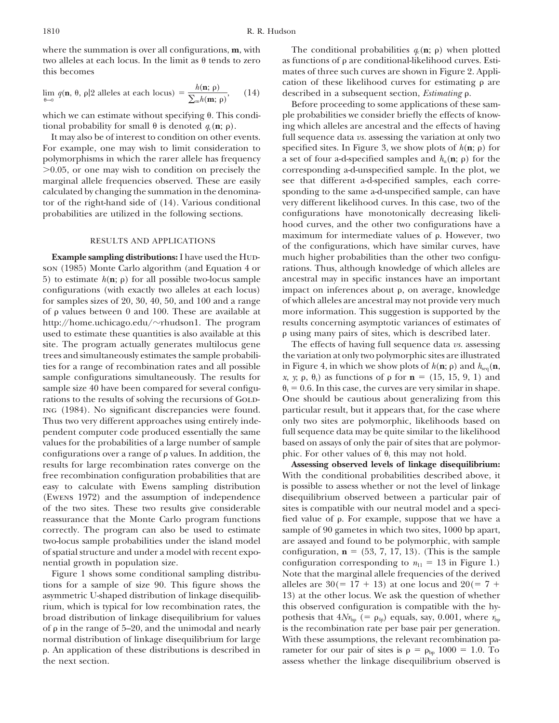where the summation is over all configurations, **m**, with two alleles at each locus. In the limit as  $\theta$  tends to zero

$$
\lim_{\theta \to 0} q(\mathbf{n}, \theta, \rho | 2 \text{ alleles at each locus}) = \frac{h(\mathbf{n}; \rho)}{\sum_{m} h(\mathbf{m}; \rho)}, \qquad (14)
$$

tional probability for small  $\theta$  is denoted  $q_c(\mathbf{n}; \rho)$ .

For example, one may wish to limit consideration to polymorphisms in which the rarer allele has frequency  $>0.05$ , or one may wish to condition on precisely the corresponding a-d-unspecified sample. In the plot, we marginal allele frequencies observed. These are easily see that different a-d-specified samples, each correcalculated by changing the summation in the denomina- sponding to the same a-d-unspecified sample, can have tor of the right-hand side of (14). Various conditional very different likelihood curves. In this case, two of the probabilities are utilized in the following sections. configurations have monotonically decreasing likeli-

son (1985) Monte Carlo algorithm (and Equation 4 or rations. Thus, although knowledge of which alleles are 5) to estimate  $h(\mathbf{n}; \rho)$  for all possible two-locus sample configurations (with exactly two alleles at each locus) for samples sizes of 20, 30, 40, 50, and 100 and a range of which alleles are ancestral may not provide very much of  $\rho$  values between 0 and 100. These are available at more information. This suggestion is supported by the http://home.uchicago.edu/~rhudson1. The program results concerning asymptotic variances of estimates of used to estimate these quantities is also available at this site. The program actually generates multilocus gene The effects of having full sequence data *vs.* assessing trees and simultaneously estimates the sample probabili- the variation at only two polymorphic sites are illustrated ties for a range of recombination rates and all possible sample configurations simultaneously. The results for sample size 40 have been compared for several configu-  $\theta_t = 0.6$ . In this case, the curves are very similar in shape. rations to the results of solving the recursions of GoLD- One should be cautious about generalizing from this ing (1984). No significant discrepancies were found. particular result, but it appears that, for the case where Thus two very different approaches using entirely inde- only two sites are polymorphic, likelihoods based on pendent computer code produced essentially the same full sequence data may be quite similar to the likelihood values for the probabilities of a large number of sample based on assays of only the pair of sites that are polymorconfigurations over a range of  $\rho$  values. In addition, the results for large recombination rates converge on the **Assessing observed levels of linkage disequilibrium:** free recombination configuration probabilities that are With the conditional probabilities described above, it easy to calculate with Ewens sampling distribution is possible to assess whether or not the level of linkage (Ewens 1972) and the assumption of independence disequilibrium observed between a particular pair of of the two sites. These two results give considerable sites is compatible with our neutral model and a specireassurance that the Monte Carlo program functions correctly. The program can also be used to estimate sample of 90 gametes in which two sites, 1000 bp apart, two-locus sample probabilities under the island model are assayed and found to be polymorphic, with sample of spatial structure and under a model with recent expo-<br>configuration,  $\mathbf{n} = (53, 7, 17, 13)$ . (This is the sample

tions for a sample of size 90. This figure shows the alleles are  $30(= 17 + 13)$  at one locus and  $20(= 7 + 13)$ asymmetric U-shaped distribution of linkage disequilib- 13) at the other locus. We ask the question of whether rium, which is typical for low recombination rates, the this observed configuration is compatible with the hybroad distribution of linkage disequilibrium for values of  $\rho$  in the range of 5–20, and the unimodal and nearly normal distribution of linkage disequilibrium for large With these assumptions, the relevant recombination pap. An application of these distributions is described in rameter for our pair of sites is p the next section. The next section observed is assess whether the linkage disequilibrium observed is

The conditional probabilities  $q_c(\mathbf{n}; \rho)$  when plotted as functions of  $\rho$  are conditional-likelihood curves. Estithis becomes mates of three such curves are shown in Figure 2. Application of these likelihood curves for estimating  $\rho$  are , (14) described in a subsequent section, *Estimating*  $\rho$ .

Before proceeding to some applications of these samwhich we can estimate without specifying  $\theta$ . This condi- ple probabilities we consider briefly the effects of know-). ing which alleles are ancestral and the effects of having It may also be of interest to condition on other events. full sequence data *vs.* assessing the variation at only two specified sites. In Figure 3, we show plots of  $h(\mathbf{n}; \rho)$  for a set of four a-d-specified samples and  $h_u(\mathbf{n};\rho)$  for the hood curves, and the other two configurations have a maximum for intermediate values of  $\rho$ . However, two RESULTS AND APPLICATIONS of the configurations, which have similar curves, have **Example sampling distributions:** I have used the Hup- much higher probabilities than the other two configuancestral may in specific instances have an important impact on inferences about  $\rho$ , on average, knowledge using many pairs of sites, which is described later.

> in Figure 4, in which we show plots of  $h(\mathbf{n}; \rho)$  and  $h_{seq}(\mathbf{n}, \rho)$ ,  $\theta$ <sub>t</sub>) as functions of  $\rho$  for  $\mathbf{n} = (15, 15, 9, 1)$  and phic. For other values of  $\theta_t$  this may not hold.

fied value of  $\rho$ . For example, suppose that we have a nential growth in population size. configuration corresponding to  $n_{11} = 13$  in Figure 1.) Figure 1 shows some conditional sampling distribu-<br>Note that the marginal allele frequencies of the derived pothesis that  $4Nr_{bp}$  (=  $\rho_{bp}$ ) equals, say, 0.001, where  $r_{bp}$ is the recombination rate per base pair per generation.  $= \rho_{bp} 1000 = 1.0$ . To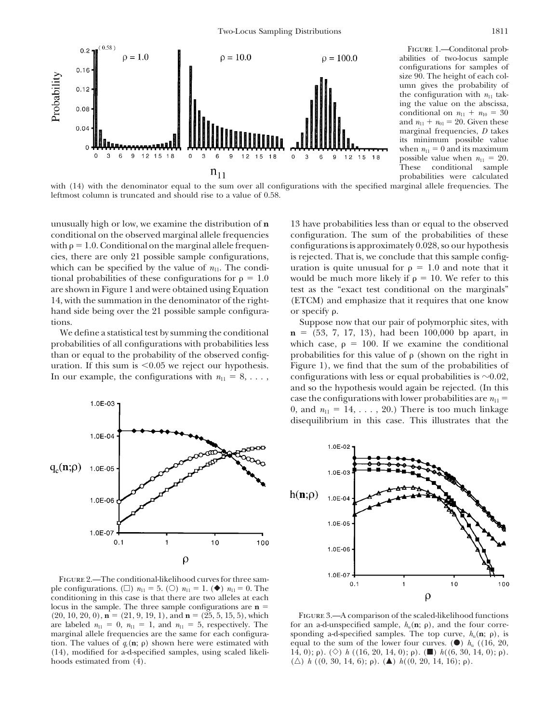

Figure 1.—Conditonal probabilities of two-locus sample configurations for samples of size 90. The height of each column gives the probability of the configuration with  $n_{11}$  taking the value on the abscissa, conditional on  $n_{11} + n_{10} = 30$ and  $n_{11} + n_{01} = 20$ . Given these marginal frequencies, *D* takes its minimum possible value when  $n_{11} = 0$  and its maximum possible value when  $n_{11} = 20$ . These conditional sample probabilities were calculated

with (14) with the denominator equal to the sum over all configurations with the specified marginal allele frequencies. The leftmost column is truncated and should rise to a value of 0.58.

unusually high or low, we examine the distribution of **n** 13 have probabilities less than or equal to the observed conditional on the observed marginal allele frequencies configuration. The sum of the probabilities of these with  $\rho = 1.0$ . Conditional on the marginal allele frequencies, there are only 21 possible sample configurations, is rejected. That is, we conclude that this sample configwhich can be specified by the value of  $n_{11}$ . The conditional probabilities of these configurations for  $\rho = 1.0$ are shown in Figure 1 and were obtained using Equation test as the "exact test conditional on the marginals" 14, with the summation in the denominator of the right- (ETCM) and emphasize that it requires that one know hand side being over the 21 possible sample configurations. Suppose now that our pair of polymorphic sites, with

probabilities of all configurations with probabilities less than or equal to the probability of the observed configuration. If this sum is 0.05 we reject our hypothesis. Figure 1), we find that the sum of the probabilities of In our example, the configurations with  $n_{11} = 8, \ldots$ , configurations with less or equal probabilities is  $\sim 0.02$ ,



configurations is approximately 0.028, so our hypothesis uration is quite unusual for  $\rho = 1.0$  and note that it  $= 1.0$  would be much more likely if  $\rho = 10$ . We refer to this or specify  $\rho$ .

We define a statistical test by summing the conditional  $\mathbf{n} = (53, 7, 17, 13)$ , had been 100,000 bp apart, in which case,  $\rho = 100$ . If we examine the conditional probabilities for this value of  $\rho$  (shown on the right in and so the hypothesis would again be rejected. (In this case the configurations with lower probabilities are  $n_{11}$  = 0, and  $n_{11} = 14, \ldots, 20$ .) There is too much linkage disequilibrium in this case. This illustrates that the



FIGURE 2.—The conditional-likelihood curves for three sample configurations. ( $\square$ )  $n_{11} = 5$ . ( $\bigcirc$ )  $n_{11} = 1$ . ( $\blacklozenge$ )  $n_{11} = 0$ . The conditioning in this case is that there are two alleles at each locus in the sample. The three sample configurations are **n** are labeled  $n_{11} = 0$ ,  $n_{11} = 1$ , and  $n_{11} = 5$ , respectively. The marginal allele frequencies are the same for each configuration. The values of  $q_c(\mathbf{n}; \rho)$  shown here were estimated with  $(14)$ , modified for a-d-specified samples, using scaled likelihoods estimated from  $(4)$ .

 $(20, 10, 20, 0)$ ,  $\mathbf{n} = (21, 9, 19, 1)$ , and  $\mathbf{n} = (25, 5, 15, 5)$ , which FIGURE 3.—A comparison of the scaled-likelihood functions for an a-d-unspecified sample,  $h_u(\mathbf{n}; \rho)$ , and the four corresponding a-d-specified samples. The top curve,  $h_u(\mathbf{n}; \rho)$ , is equal to the sum of the lower four curves. ( $\bullet$ ) *h*<sub>u</sub> ((16, 20, ). ( $\Diamond$ ) *h* ((16, 20, 14, 0);  $\rho$ ). ( $\blacksquare$ ) *h*((6, 30, 14, 0);  $\rho$ ). ). ( $\blacktriangle$ )  $h((0, 20, 14, 16); \rho)$ .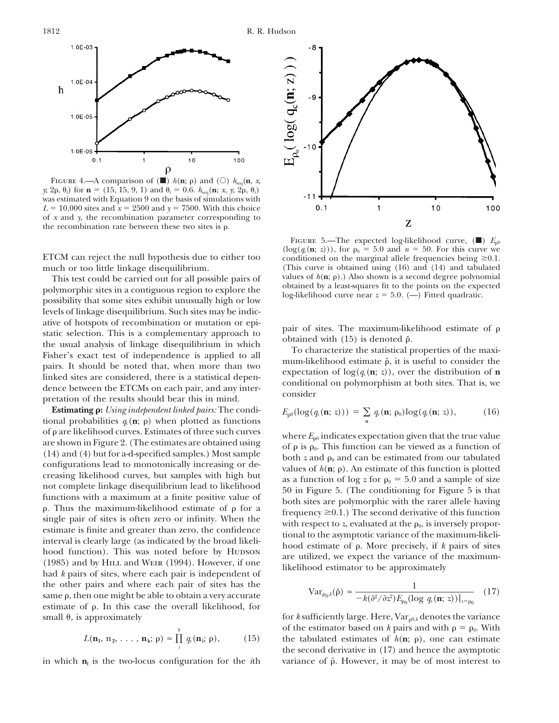

FIGURE 4.—A comparison of ( $\blacksquare$ )  $h(\mathbf{n}; \rho)$  and ( $\bigcirc$ )  $h_{\text{seq}}(\mathbf{n}, x, \rho)$ *y*; 2 $\rho$ ,  $\theta$ <sub>t</sub>) for **n** = (15, 15, 9, 1) and  $\theta$ <sub>t</sub> = 0.6. *h*<sub>seq</sub>(**n**; *x*, *y*; 2 $\rho$ ,  $\theta$ <sub>t</sub>) was estimated with Equation 9 on the basis of simulations with  $L = 10,000$  sites and  $x = 2500$  and  $y = 7500$ . With this choice of *x* and *y*, the recombination parameter corresponding to the recombination rate between these two sites is  $\rho$ .

much or too little linkage disequilibrium. (This curve is obtained using (16) and (14) and tabulated

polymorphic sites in a contiguous region to explore the<br>possibility that some sites exhibit unusually high or low<br>possibility that some sites exhibit unusually high or low levels of linkage disequilibrium. Such sites may be indicative of hotspots of recombination or mutation or epi-<br>  $\frac{1}{2}$  pair of sites. The maximum-likelihood estimate of  $\rho$ static selection. This is a complementary approach to  $\frac{\mu_{\text{all}}}{\text{obtained with (15) is denoted }\hat{\rho}}$  the usual analysis of linkage disequilibrium in which To characterize the statistical properties of the maxi-<br>Fisher's exact test of independence is applied to all mum-likelihood estimate  $\hat{\rho}$ , it is useful to consider the pairs. It should be noted that, when more than tw Figure 1 and the consider the pairs. It should be noted that, when more than two<br>linked sites are considered, there is a statistical depen-<br>dence between the ETCMs on each pair, and any inter-<br>pretation of the results sho

**Estimating**  $\rho$ **:** *Using independent linked pairs:* The condi-  $E_{\rho}$ tional probabilities  $q_c(\mathbf{n}; \rho)$  when plotted as functions of  $\rho$  are likelihood curves. Estimates of three such curves where  $E_{\rho}$ or p are intensition during that the true value are shown in Figure 2. (The estimates are obtained using  $\alpha$  of  $\rho$  is  $\rho$ . This function can be viewed as a function of (14) and (4) but for a-d-specified samples.) Most sample configurations lead to monotonically increasing or de-<br>values of  $h(\mathbf{n}; \rho)$ . An estimate of this function is plotted creasing likelihood curves, but samples with high but not complete linkage disequilibrium lead to likelihood Example of size<br>
not complete linkage disequilibrium lead to likelihood<br>
functions with a maximum at a finite positive value of<br>
both sites are polymorphic with the rarer allele having  $\rho$ . Thus the maximum-likelihood estimate of  $\rho$ for a frequency  $\geq$ 0.1.) The second derivative of this function single pair of sites is often zero or infinity. When the with respect to *z*, evaluated at the  $\rho_0$ , is inversely propor-<br>estimate is finite and greater Estimate is finite and greater than zero, the confidence tional to the asymptotic variance of the maximum-likeli-<br>
interval is clearly large (as indicated by the broad likeli-<br>
hood estimate of  $\rho$ . More precisely, if k  $(1985)$  and by HILL and WEIR (1994). However, if one had k pairs of sites, where each pair is independent of the other pairs and where each pair of sites has the same  $\rho$ , then one might be able to obtain a very accurate  $Var_{\rho_0,k}(\hat{\rho}) \approx \frac{1}{-k(\partial^2/\partial z^2)E_{\rho_0}(\log a(\mathbf{n};z))}\$  (17) estimate of  $\rho$ . In this case the overall likelihood, for

$$
L(\mathbf{n}_1, \, \mathbf{n}_2, \, \dots, \, \mathbf{n}_k; \, \rho) \approx \prod_i^k q_c(\mathbf{n}_i; \, \rho), \qquad (15)
$$

in which  $n_i$  is the two-locus configuration for the *i*th



FIGURE 5.—The expected log-likelihood curve,  $(\blacksquare)$   $E_{\rho 0}$  $(\log(q_c(\mathbf{n}; z)))$ , for  $\rho_0 = 5.0$  and  $n = 50$ . For this curve we ETCM can reject the null hypothesis due to either too conditioned on the marginal allele frequencies being  $\geq 0.1$ . This test could be carried out for all possible pairs of values of  $h(\mathbf{n}; \rho)$ .) Also shown is a second degree polynomial<br>obtained by a least-squares fit to the points on the expected values of  $h(n; \rho)$ .) Also shown is a second degree polynomial

$$
E_{\rho 0}(\log(q_{\varepsilon}(\mathbf{n}; z))) = \sum_{\mathbf{n}} q_{\varepsilon}(\mathbf{n}; \, \rho_0) \log(q_{\varepsilon}(\mathbf{n}; z)), \tag{16}
$$

 $\rho$  is  $\rho_0$ . This function can be viewed as a function of both  $z$  and  $\rho_0$  and can be estimated from our tabulated

$$
\text{Var}_{\rho_0, k}(\hat{\rho}) \approx \frac{1}{-k(\partial^2/\partial z^2) E_{\rho_0}(\log q_c(\mathbf{n}; z))|_{z=\rho_0}} \quad (17)
$$

small  $\theta$ , is approximately  $\qquad \qquad$  for *k* sufficiently large. Here,  $\text{Var}_{\rho 0,k}$  denotes the variance of the estimator based on *k* pairs and with  $\rho = \rho_0$ . With ), (15) the tabulated estimates of  $h(n; \rho)$ , one can estimate the second derivative in (17) and hence the asymptotic variance of  $\hat{\rho}$ . However, it may be of most interest to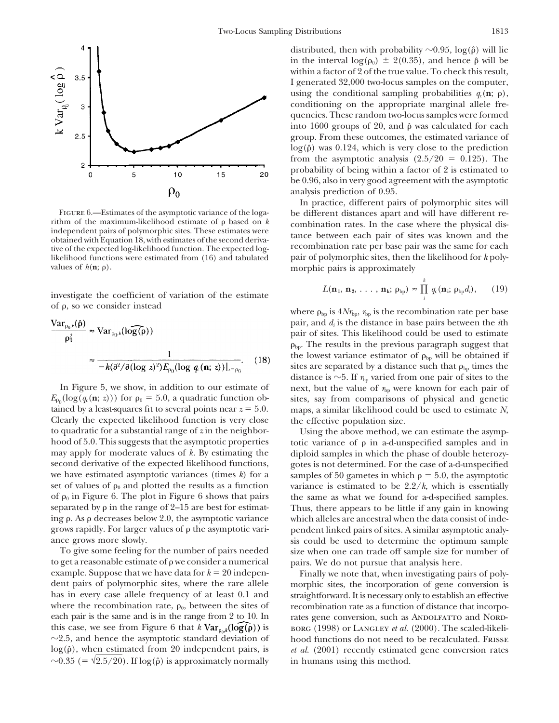

rithm of the maximum-likelihood estimate of  $\rho$  based on  $k$ <br>independent pairs of polymorphic sites. These estimates were<br>obtained with Equation 18, with estimates of the second deriva-<br>obtained with Equation 18, with es tive of the expected log-likelihood function. The expected log-<br>recombination rate per base pair was the same for each likelihood functions were estimated from (16) and tabulated pair of polymorphic sites, then the likelihood for *k* polyvalues of  $h(\mathbf{n}; \rho)$ .

investigate the coefficient of variation of the estimate of  $\rho$ , so we consider instead where  $\rho$ 

$$
\frac{\text{Var}_{\rho_0, k}(\hat{\rho})}{\rho_0^2} \approx \text{Var}_{\rho_0, k}(\log(\rho))
$$
\n
$$
\approx \frac{1}{-k(\partial^2/\partial(\log z)^2)E_{\rho_0}(\log q_c(\mathbf{n}; z))|_{z=\rho_0}}.
$$
\n(18)

 $E_{\rho_0}(\log(q_c(\mathbf{n}; z)))$  for  $\rho$ tained by a least-squares fit to several points near  $z = 5.0$ . maps, a similar likelihood could be used to estimate N, Clearly the expected likelihood function is very close the effective population size. to quadratic for a substantial range of *z* in the neighbor- Using the above method, we can estimate the asymphood of 5.0. This suggests that the asymptotic properties may apply for moderate values of *k*. By estimating the diploid samples in which the phase of double heterozysecond derivative of the expected likelihood functions, gotes is not determined. For the case of a-d-unspecified we have estimated asymptotic variances (times  $k$ ) for a set of values of  $\rho_0$  and plotted the results as a function of  $\rho_0$  in Figure 6. The plot in Figure 6 shows that pairs separated by  $\rho$  in the range of 2–15 are best for estimating ρ. As ρ grows rapidly. For larger values of  $\rho$  the asymptotic variance grows more slowly. The same state of the state of the state of the optimum sample

to get a reasonable estimate of  $\rho$  we consider a numerical example. Suppose that we have data for  $k = 20$  indepen-<br>Finally we note that, when investigating pairs of polydent pairs of polymorphic sites, where the rare allele morphic sites, the incorporation of gene conversion is has in every case allele frequency of at least 0.1 and straightforward. It is necessary only to establish an effective where the recombination rate,  $\rho_0$ , between the sites of each pair is the same and is in the range from  $2 \text{ to } 10$ . In rates gene conversion, such as ANDOLFATTO and NORDthis case, we see from Figure 6 that *k*  $\text{Var}_{p_{n,k}}(\log(p))$  is borg (1998) or LANGLEY *et al.* (2000). The scaled-likeli- $\sim$ 2.5, and hence the asymptotic standard deviation of hood functions do not need to be recalculated. FRISSE  $log(\hat{\rho})$ , when estimated from 20 independent pairs, is  $\sim$ 0.35 (=  $\sqrt{2.5/20}$ ). If log( $\hat{\rho}$ ) is approximately normally

distributed, then with probability  $\sim 0.95$ , log( $\hat{\rho}$ ) will lie in the interval  $log(\rho_0) \pm 2(0.35)$ , and hence  $\hat{\rho}$  will be within a factor of 2 of the true value. To check this result, I generated 32,000 two-locus samples on the computer, using the conditional sampling probabilities  $q_c(\mathbf{n}; \rho)$ , conditioning on the appropriate marginal allele frequencies. These random two-locus samples were formed into 1600 groups of 20, and  $\hat{\rho}$  was calculated for each group. From these outcomes, the estimated variance of  $log(\hat{\rho})$  was 0.124, which is very close to the prediction from the asymptotic analysis  $(2.5/20 = 0.125)$ . The probability of being within a factor of 2 is estimated to be 0.96, also in very good agreement with the asymptotic analysis prediction of 0.95.

In practice, different pairs of polymorphic sites will FIGURE 6.—Estimates of the asymptotic variance of the loga-<br>
rithm of the maximum-likelihood estimate of  $\rho$  based on  $k$ <br>
independent pairs of polymorphic sites. These estimates were morphic pairs is approximately

$$
L(\mathbf{n}_1, \mathbf{n}_2, \ldots, \mathbf{n}_k; \rho_{bp}) \approx \prod_i^k q_c(\mathbf{n}_i; \rho_{bp} d_i), \qquad (19)
$$

where  $\rho_{bp}$  is  $4Nr_{bp}$ ,  $r_{bp}$  is the recombination rate per base pair, and *di* is the distance in base pairs between the *i*th pair of sites. This likelihood could be used to estimate  $\rho_{bp}$ . The results in the previous paragraph suggest that the lowest variance estimator of  $\rho_{bp}$  will be obtained if sites are separated by a distance such that  $\rho_{bp}$  times the distance is  $\sim$ 5. If  $r_{bp}$  varied from one pair of sites to the In Figure 5, we show, in addition to our estimate of next, but the value of  $r_{bp}$  were known for each pair of sites, say from comparisons of physical and genetic

totic variance of  $\rho$  in a-d-unspecified samples and in samples of 50 gametes in which  $\rho = 5.0$ , the asymptotic variance is estimated to be  $2.2/k$ , which is essentially the same as what we found for a-d-specified samples. Thus, there appears to be little if any gain in knowing which alleles are ancestral when the data consist of independent linked pairs of sites. A similar asymptotic analy-To give some feeling for the number of pairs needed size when one can trade off sample size for number of pairs. We do not pursue that analysis here.

> recombination rate as a function of distance that incorpoet al. (2001) recently estimated gene conversion rates in humans using this method.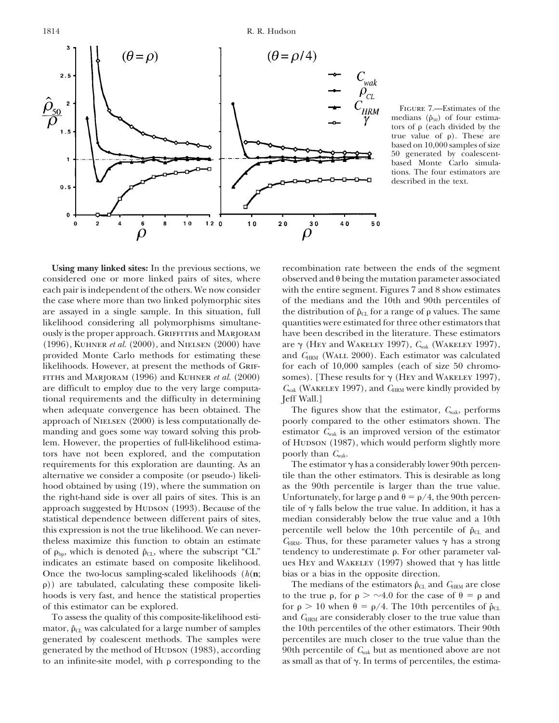

Figure 7.—Estimates of the medians  $(\hat{\rho}_{50})$  of four estimators of  $\rho$  (each divided by the true value of  $\rho$ ). These are based on 10,000 samples of size 50 generated by coalescentbased Monte Carlo simulations. The four estimators are described in the text.

are assayed in a single sample. In this situation, full likelihoods. However, at present the methods of GRIF- for each of 10,000 samples (each of size 50 chromotional requirements and the difficulty in determining Jeff Wall.] when adequate convergence has been obtained. The *The figures show that the estimator, C*<sub>wak</sub>, performs approach of Nielsen (2000) is less computationally de- poorly compared to the other estimators shown. The manding and goes some way toward solving this prob- estimator  $C_{\text{wak}}$  is an improved version of the estimator lem. However, the properties of full-likelihood estima- of Hupson (1987), which would perform slightly more tors have not been explored, and the computation . poorly than  $C_{\text{walk}}$ . requirements for this exploration are daunting. As an The estimator  $\gamma$  has a considerably lower 90th percenalternative we consider a composite (or pseudo-) likeli- tile than the other estimators. This is desirable as long hood obtained by using (19), where the summation on as the 90th percentile is larger than the true value. the right-hand side is over all pairs of sites. This is an approach suggested by Hudson (1993). Because of the tile of  $\gamma$  falls below the true value. In addition, it has a statistical dependence between different pairs of sites, median considerably below the true value and a 10th this expression is not the true likelihood. We can neverthe less maximize this function to obtain an estimate  $C_{\text{HRM}}$ . Thus, for these parameter values  $\gamma$  has a strong of  $\rho_{\text{bp}}$ , which is denoted  $\rho_{CL}$ , where the subscript "CL" tendency to underestimate  $\rho$ indicates an estimate based on composite likelihood. ues HEY and WAKELEY (1997) showed that  $\gamma$  has little Once the two-locus sampling-scaled likelihoods (*h*(**n**; bias or a bias in the opposite direction.  $\rho$ )) are tabulated, calculating these composite likeli-<br>The medians of the estimators  $\hat{\rho}$ hoods is very fast, and hence the statistical properties of this estimator can be explored.

mator,  $\hat{\rho}_{CL}$  was calculated for a large number of samples generated by coalescent methods. The samples were percentiles are much closer to the true value than the generated by the method of Hudson (1983), according 90th percentile of  $C_{\text{wak}}$  but as mentioned above are not to an infinite-site model, with  $\rho$  corresponding to the

**Using many linked sites:** In the previous sections, we recombination rate between the ends of the segment considered one or more linked pairs of sites, where  $\qquad$  observed and  $\theta$  being the mutation parameter associated each pair is independent of the others. We now consider with the entire segment. Figures 7 and 8 show estimates the case where more than two linked polymorphic sites of the medians and the 10th and 90th percentiles of  $\hat{\rho}_{CL}$  for a range of  $\rho$  values. The same likelihood considering all polymorphisms simultane- quantities were estimated for three other estimators that ously is the proper approach. Griffiths and Marjoram have been described in the literature. These estimators (1996), KUHNER *et al.* (2000), and NIELSEN (2000) have are  $\gamma$  (HEY and WAKELEY 1997),  $C_{\text{wak}}$  (WAKELEY 1997), provided Monte Carlo methods for estimating these and C<sub>HRM</sub> (WALL 2000). Each estimator was calculated FITHS and Marjoram (1996) and Kuhner *et al.* (2000) somes). [These results for  $\gamma$  (Hey and Wakeley 1997), are difficult to employ due to the very large computa- *C*<sub>wak</sub> (WAKELEY 1997), and *C*<sub>HRM</sub> were kindly provided by

 $\rho$  and  $\theta = \rho/4$ , the 90th percenpercentile well below the 10th percentile of  $\hat{\rho}_{CL}$  and tendency to underestimate  $\rho$ . For other parameter val-

The medians of the estimators  $\hat{\rho}_{CL}$  and  $C_{HRM}$  are close , for  $\rho > \sim 4.0$  for the case of  $\theta = \rho$  and  $> 10$  when  $\theta = \rho/4$ . The 10th percentiles of  $\hat{\rho}_{CL}$ To assess the quality of this composite-likelihood esti- and *C*<sub>HRM</sub> are considerably closer to the true value than the 10th percentiles of the other estimators. Their 90th as small as that of  $\gamma$ . In terms of percentiles, the estima-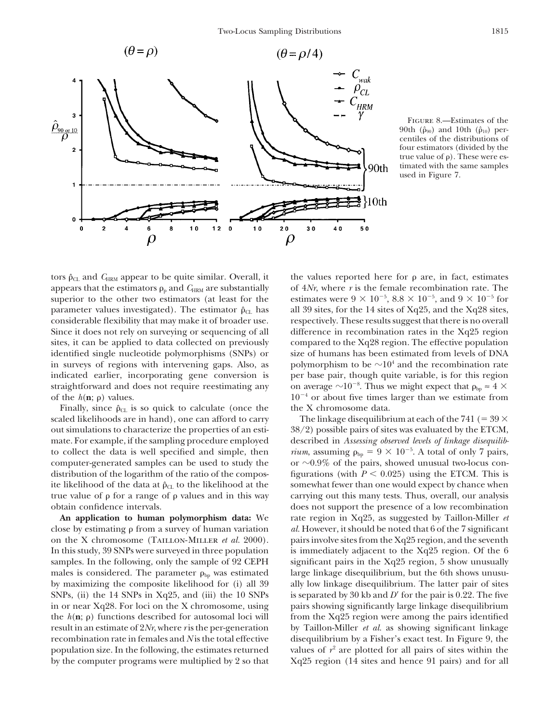

Figure 8.—Estimates of the 90th ( $\hat{\rho}_{90}$ ) and 10th ( $\hat{\rho}_{10}$ ) percentiles of the distributions of four estimators (divided by the true value of  $\rho$ ). These were estimated with the same samples used in Figure 7.

tors  $\hat{\rho}_{CL}$  and  $C_{HRM}$  appear to be quite similar. Overall, it the values reported here for  $\rho$ appears that the estimators  $\rho_{p}$  and  $C_{HRM}$  are substantially superior to the other two estimators (at least for the parameter values investigated). The estimator  $\hat{\rho}_{CL}$  has considerable flexibility that may make it of broader use. respectively. These results suggest that there is no overall Since it does not rely on surveying or sequencing of all difference in recombination rates in the Xq25 region sites, it can be applied to data collected on previously compared to the Xq28 region. The effective population identified single nucleotide polymorphisms (SNPs) or size of humans has been estimated from levels of DNA in surveys of regions with intervening gaps. Also, as polymorphism to be  $\sim 10^4$  and the recombination rate indicated earlier, incorporating gene conversion is per base pair, though quite variable, is for this region straightforward and does not require reestimating any of the  $h(n; \rho)$  values.

Finally, since  $\hat{\rho}_{CL}$  is so quick to calculate (once the the X chromosome data. scaled likelihoods are in hand), one can afford to carry The linkage disequilibrium at each of the 741 ( $=$  39  $\times$ out simulations to characterize the properties of an esti- 38/2) possible pairs of sites was evaluated by the ETCM, to collect the data is well specified and simple, then ite likelihood of the data at  $\hat{\rho}_{CL}$  to the likelihood at the true value of  $\rho$  for a range of  $\rho$ 

close by estimating  $\rho$  from a survey of human variation on the X chromosome (Taillon-Miller *et al.* 2000). pairs involve sites from the Xq25 region, and the seventh In this study, 39 SNPs were surveyed in three population is immediately adjacent to the Xq25 region. Of the 6 samples. In the following, only the sample of 92 CEPH significant pairs in the Xq25 region, 5 show unusually males is considered. The parameter  $\rho_{\text{bp}}$  was estimated by maximizing the composite likelihood for (i) all 39 ally low linkage disequilibrium. The latter pair of sites SNPs, (ii) the 14 SNPs in Xq25, and (iii) the 10 SNPs is separated by 30 kb and *D'* for the pair is 0.22. The five in or near  $Xq28$ . For loci on the X chromosome, using pairs showing significantly large linkage disequilibrium the  $h(\mathbf{n}; \rho)$  functions described for autosomal loci will result in an estimate of 2*Nr*, where *r* is the per-generation by Taillon-Miller *et al.* as showing significant linkage recombination rate in females and *N* is the total effective disequilibrium by a Fisher's exact test. In Figure 9, the population size. In the following, the estimates returned values of  $r<sup>2</sup>$  are plotted for all pairs of sites within the by the computer programs were multiplied by 2 so that Xq25 region (14 sites and hence 91 pairs) and for all

the values reported here for  $\rho$  are, in fact, estimates of  $4Nr$ , where  $r$  is the female recombination rate. The ,  $8.8 \times 10^{-5}$ , and  $9 \times 10^{-5}$  for all 39 sites, for the 14 sites of Xq25, and the Xq28 sites, . Thus we might expect that  $\rho_{bp} \approx 4 \times 10^{-10}$  $10^{-4}$  or about five times larger than we estimate from

mate. For example, if the sampling procedure employed described in *Assessing observed levels of linkage disequilib-* $_{\text{bp}} = 9 \times 10^{-5}$ . A total of only 7 pairs, computer-generated samples can be used to study the or  $\sim 0.9\%$  of the pairs, showed unusual two-locus condistribution of the logarithm of the ratio of the compos-<br>figurations (with  $P \le 0.025$ ) using the ETCM. This is somewhat fewer than one would expect by chance when carrying out this many tests. Thus, overall, our analysis obtain confidence intervals. does not support the presence of a low recombination **An application to human polymorphism data:** We rate region in Xq25, as suggested by Taillon-Miller *et* al. However, it should be noted that 6 of the 7 significant large linkage disequilibrium, but the 6th shows unusufrom the  $Xq25$  region were among the pairs identified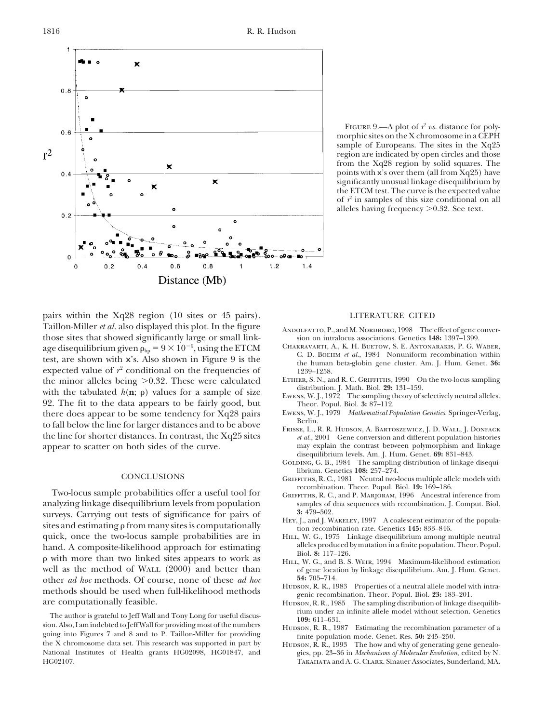pairs within the Xq28 region (10 sites or 45 pairs). LITERATURE CITED Taillon-Miller *et al.* also displayed this plot. In the figure<br>those sites that showed significantly large or small link-<br>sion on intralocus associations. Genetics 148: 1397-1399. those sites that showed significantly large or small linkage disequilibrium given  $\rho_{bp} = 9 \times 10^{-5}$ , using the ETCM<br>test, are shown with x's. Also shown in Figure 9 is the<br>test, are shown with x's. Also shown in Figure 9 is the<br>the human beta-globin gene cluster. Am. J. Hum. G expected value of  $r^2$  conditional on the frequencies of the human beta-globin gene cluster. Am. J. Hum. Genet. **36:**<br>the minor alleles being  $>0.32$ . These were calculated ETHIER, S. N., and R. C. GRIFFITHS, 1990 On the the minor alleles being  $>0.32$ . These were calculated ETHIER, S. N., and R. C. GRIFFITHS, 1990 On the tabulated  $k(x, s)$  radius for a sample of sine distribution. J. Math. Biol. 29: 131–159. with the tabulated  $h(n; \rho)$  values for a sample of size 92. The fit to the data appears to be fairly good, but<br>there does appear to be some tendency for Xq28 pairs EWENS, W.J., 1979 *Mathematical Population Genetics*. Springer-Verlag, there does appear to be some tendency for Xq28 pairs EWENS, W.J., 1979 Mathematical Population Genetics. Springer-Verlag,<br>to fall below the line for larger distances and to be above<br>the line for shorter distances. In contr

recombination. Theor. Popul. Biol. 19: 169–186.<br>Two-locus sample probabilities offer a useful tool for GRIFFITHS, R. C., and P. MARJORAM, 1996 Ancestral inference from analyzing linkage disequilibrium levels from population samples of dna sequences with recombination. J. Comput. Biol.<br>  $\frac{3!}{479-502}$ . Surveys. Carrying out tests of significance for pairs of HEY, J., and J. WAKELEY, 1997 A coalescent estimator of the populations and estimating *ρ* from many sites is computationally the mecombination rate. Genetics 145:  $f$  sites and estimating  $\rho$  from many sites is computationally quick, once the two-locus sample probabilities are in hand. A composite-likelihood approach for estimating p with more than two linked sites appears to work as HILL, W. G., and B. S. WEIR, 1994 Maximum-likelihood estimation p with more than wo inked sites appears to work as<br>well as the method of WALL (2000) and better than of gene location by linkage disequilibrium. Am. J. Hum. Genet.<br>other ad hoc methods. Of course, none of these ad hoc 54: other *ad hoc* methods. Of course, none of these *ad hoc* 54: 705–714.<br>*addative methods abouted be used when* full likelihood methods *HUDSON, R. R., 1983* Properties of a neutral allele model with intramethods should be used when full-likelihood methods and the model with interaction. Theor. Popul. Biol. 23: 183–201.<br>genic recombination. Theor. Popul. Biol. 23: 183–201.<br>Hunson, R. R., 1985 The sampling distribution of li

The author is grateful to Jeff Wall and Tony Long for useful discus-<br> **109:** 611–631.<br> **109:** 611–631.<br> **109:** 611–631.<br> **109:** 611–631.<br> **109:** 611–631. sion. Also, I am indebted to Jerr wall for providing most of the numbers<br>
Fubson, R. R., 1987 Estimating the recombination parameter of a<br>
the X chromosome data set. This research was supported in part by<br>
HUDSON R. R. 199 the X chromosome data set. This research was supported in part by Hudson, R. R., 1993 The how and why of generating gene genealo-<br>National Institutes of Health grants HG02098, HG01847, and gies, pp. 23–36 in *Mechanisms of* HG02107. Takahata and A. G. Clark. Sinauer Associates, Sunderland, MA.

FIGURE 9.—A plot of  $r^2$  *vs*. distance for polymorphic sites on the X chromosome in a CEPH sample of Europeans. The sites in the Xq25 region are indicated by open circles and those from the Xq28 region by solid squares. The points with x's over them (all from Xq25) have significantly unusual linkage disequilibrium by the ETCM test. The curve is the expected value of *r* <sup>2</sup> in samples of this size conditional on all alleles having frequency  $>0.32$ . See text.

- 
- 
- 
- EWENS, W. J., 1972 The sampling theory of selectively neutral alleles.<br>Theor. Popul. Biol. 3: 87–112.
- 
- appear to scatter on both sides of the curve. may explain the contrast between polymorphism and linkage disequilibrium levels. Am. J. Hum. Genet. **69:** 831–843.
	- GOLDING, G. B., 1984 The sampling distribution of linkage disequilibrium. Genetics **108:** 257–274.
	- CONCLUSIONS GRIFFITHS, R. C., 1981 Neutral two-locus multiple allele models with
		-
		-
		- HILL, W. G., 1975 Linkage disequilibrium among multiple neutral alleles produced by mutation in a finite population. Theor. Popul. Biol. **8:** 117–126.
		-
		-
		- Hudson, R. R., 1985 The sampling distribution of linkage disequilib-
		-
		- gies, pp. 23-36 in *Mechanisms of Molecular Evolution*, edited by N.